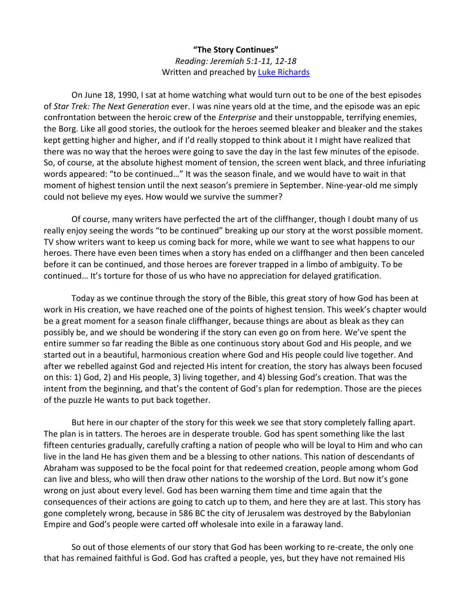## **"The Story Continues"** *Reading: Jeremiah 5:1-11, 12-18* Written and preached by [Luke Richards](http://www.lukerichards.blogspot.com/)

On June 18, 1990, I sat at home watching what would turn out to be one of the best episodes of *Star Trek: The Next Generation* ever. I was nine years old at the time, and the episode was an epic confrontation between the heroic crew of the *Enterprise* and their unstoppable, terrifying enemies, the Borg. Like all good stories, the outlook for the heroes seemed bleaker and bleaker and the stakes kept getting higher and higher, and if I'd really stopped to think about it I might have realized that there was no way that the heroes were going to save the day in the last few minutes of the episode. So, of course, at the absolute highest moment of tension, the screen went black, and three infuriating words appeared: "to be continued…" It was the season finale, and we would have to wait in that moment of highest tension until the next season's premiere in September. Nine-year-old me simply could not believe my eyes. How would we survive the summer?

Of course, many writers have perfected the art of the cliffhanger, though I doubt many of us really enjoy seeing the words "to be continued" breaking up our story at the worst possible moment. TV show writers want to keep us coming back for more, while we want to see what happens to our heroes. There have even been times when a story has ended on a cliffhanger and then been canceled before it can be continued, and those heroes are forever trapped in a limbo of ambiguity. To be continued… It's torture for those of us who have no appreciation for delayed gratification.

Today as we continue through the story of the Bible, this great story of how God has been at work in His creation, we have reached one of the points of highest tension. This week's chapter would be a great moment for a season finale cliffhanger, because things are about as bleak as they can possibly be, and we should be wondering if the story can even go on from here. We've spent the entire summer so far reading the Bible as one continuous story about God and His people, and we started out in a beautiful, harmonious creation where God and His people could live together. And after we rebelled against God and rejected His intent for creation, the story has always been focused on this: 1) God, 2) and His people, 3) living together, and 4) blessing God's creation. That was the intent from the beginning, and that's the content of God's plan for redemption. Those are the pieces of the puzzle He wants to put back together.

But here in our chapter of the story for this week we see that story completely falling apart. The plan is in tatters. The heroes are in desperate trouble. God has spent something like the last fifteen centuries gradually, carefully crafting a nation of people who will be loyal to Him and who can live in the land He has given them and be a blessing to other nations. This nation of descendants of Abraham was supposed to be the focal point for that redeemed creation, people among whom God can live and bless, who will then draw other nations to the worship of the Lord. But now it's gone wrong on just about every level. God has been warning them time and time again that the consequences of their actions are going to catch up to them, and here they are at last. This story has gone completely wrong, because in 586 BC the city of Jerusalem was destroyed by the Babylonian Empire and God's people were carted off wholesale into exile in a faraway land.

So out of those elements of our story that God has been working to re-create, the only one that has remained faithful is God. God has crafted a people, yes, but they have not remained His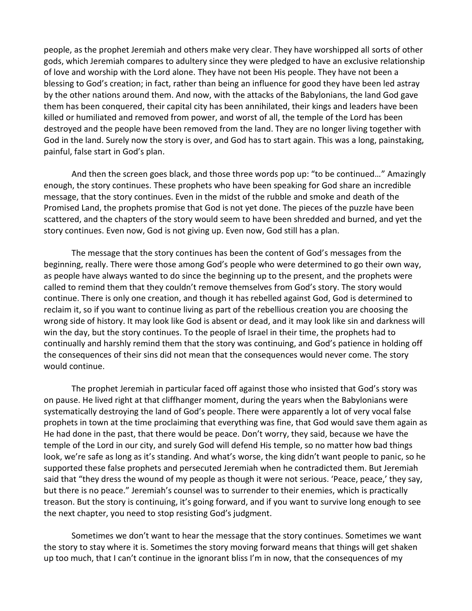people, as the prophet Jeremiah and others make very clear. They have worshipped all sorts of other gods, which Jeremiah compares to adultery since they were pledged to have an exclusive relationship of love and worship with the Lord alone. They have not been His people. They have not been a blessing to God's creation; in fact, rather than being an influence for good they have been led astray by the other nations around them. And now, with the attacks of the Babylonians, the land God gave them has been conquered, their capital city has been annihilated, their kings and leaders have been killed or humiliated and removed from power, and worst of all, the temple of the Lord has been destroyed and the people have been removed from the land. They are no longer living together with God in the land. Surely now the story is over, and God has to start again. This was a long, painstaking, painful, false start in God's plan.

And then the screen goes black, and those three words pop up: "to be continued…" Amazingly enough, the story continues. These prophets who have been speaking for God share an incredible message, that the story continues. Even in the midst of the rubble and smoke and death of the Promised Land, the prophets promise that God is not yet done. The pieces of the puzzle have been scattered, and the chapters of the story would seem to have been shredded and burned, and yet the story continues. Even now, God is not giving up. Even now, God still has a plan.

The message that the story continues has been the content of God's messages from the beginning, really. There were those among God's people who were determined to go their own way, as people have always wanted to do since the beginning up to the present, and the prophets were called to remind them that they couldn't remove themselves from God's story. The story would continue. There is only one creation, and though it has rebelled against God, God is determined to reclaim it, so if you want to continue living as part of the rebellious creation you are choosing the wrong side of history. It may look like God is absent or dead, and it may look like sin and darkness will win the day, but the story continues. To the people of Israel in their time, the prophets had to continually and harshly remind them that the story was continuing, and God's patience in holding off the consequences of their sins did not mean that the consequences would never come. The story would continue.

The prophet Jeremiah in particular faced off against those who insisted that God's story was on pause. He lived right at that cliffhanger moment, during the years when the Babylonians were systematically destroying the land of God's people. There were apparently a lot of very vocal false prophets in town at the time proclaiming that everything was fine, that God would save them again as He had done in the past, that there would be peace. Don't worry, they said, because we have the temple of the Lord in our city, and surely God will defend His temple, so no matter how bad things look, we're safe as long as it's standing. And what's worse, the king didn't want people to panic, so he supported these false prophets and persecuted Jeremiah when he contradicted them. But Jeremiah said that "they dress the wound of my people as though it were not serious. 'Peace, peace,' they say, but there is no peace." Jeremiah's counsel was to surrender to their enemies, which is practically treason. But the story is continuing, it's going forward, and if you want to survive long enough to see the next chapter, you need to stop resisting God's judgment.

Sometimes we don't want to hear the message that the story continues. Sometimes we want the story to stay where it is. Sometimes the story moving forward means that things will get shaken up too much, that I can't continue in the ignorant bliss I'm in now, that the consequences of my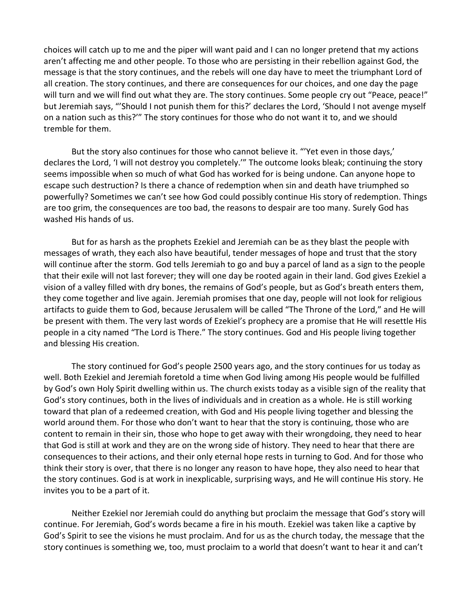choices will catch up to me and the piper will want paid and I can no longer pretend that my actions aren't affecting me and other people. To those who are persisting in their rebellion against God, the message is that the story continues, and the rebels will one day have to meet the triumphant Lord of all creation. The story continues, and there are consequences for our choices, and one day the page will turn and we will find out what they are. The story continues. Some people cry out "Peace, peace!" but Jeremiah says, "'Should I not punish them for this?' declares the Lord, 'Should I not avenge myself on a nation such as this?'" The story continues for those who do not want it to, and we should tremble for them.

But the story also continues for those who cannot believe it. "'Yet even in those days,' declares the Lord, 'I will not destroy you completely.'" The outcome looks bleak; continuing the story seems impossible when so much of what God has worked for is being undone. Can anyone hope to escape such destruction? Is there a chance of redemption when sin and death have triumphed so powerfully? Sometimes we can't see how God could possibly continue His story of redemption. Things are too grim, the consequences are too bad, the reasons to despair are too many. Surely God has washed His hands of us.

But for as harsh as the prophets Ezekiel and Jeremiah can be as they blast the people with messages of wrath, they each also have beautiful, tender messages of hope and trust that the story will continue after the storm. God tells Jeremiah to go and buy a parcel of land as a sign to the people that their exile will not last forever; they will one day be rooted again in their land. God gives Ezekiel a vision of a valley filled with dry bones, the remains of God's people, but as God's breath enters them, they come together and live again. Jeremiah promises that one day, people will not look for religious artifacts to guide them to God, because Jerusalem will be called "The Throne of the Lord," and He will be present with them. The very last words of Ezekiel's prophecy are a promise that He will resettle His people in a city named "The Lord is There." The story continues. God and His people living together and blessing His creation.

The story continued for God's people 2500 years ago, and the story continues for us today as well. Both Ezekiel and Jeremiah foretold a time when God living among His people would be fulfilled by God's own Holy Spirit dwelling within us. The church exists today as a visible sign of the reality that God's story continues, both in the lives of individuals and in creation as a whole. He is still working toward that plan of a redeemed creation, with God and His people living together and blessing the world around them. For those who don't want to hear that the story is continuing, those who are content to remain in their sin, those who hope to get away with their wrongdoing, they need to hear that God is still at work and they are on the wrong side of history. They need to hear that there are consequences to their actions, and their only eternal hope rests in turning to God. And for those who think their story is over, that there is no longer any reason to have hope, they also need to hear that the story continues. God is at work in inexplicable, surprising ways, and He will continue His story. He invites you to be a part of it.

Neither Ezekiel nor Jeremiah could do anything but proclaim the message that God's story will continue. For Jeremiah, God's words became a fire in his mouth. Ezekiel was taken like a captive by God's Spirit to see the visions he must proclaim. And for us as the church today, the message that the story continues is something we, too, must proclaim to a world that doesn't want to hear it and can't